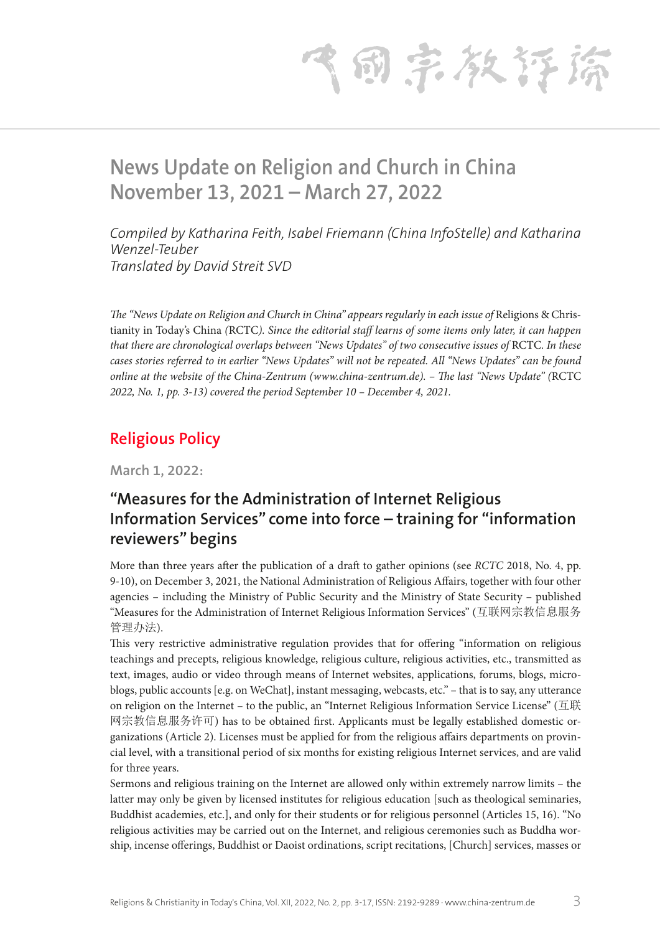气雨宗教存裕

# **News Update on Religion and Church in China November 13, 2021 – March 27, 2022**

*Compiled by Katharina Feith, Isabel Friemann (China InfoStelle) and Katharina Wenzel-Teuber Translated by David Streit SVD* 

*The "News Update on Religion and Church in China" appears regularly in each issue of Religions & Chris*tianity in Today's China *(*RCTC*). Since the editorial staff learns of some items only later, it can happen that there are chronological overlaps between "News Updates" of two consecutive issues of RCTC. In these cases stories referred to in earlier "News Updates" will not be repeated. All "News Updates" can be found online at the website of the China-Zentrum (www.china-zentrum.de). – The last "News Update" (*RCTC *2022, No. 1, pp. 3-13) covered the period September 10 – December 4, 2021.*

## **Religious Policy**

**March 1, 2022:**

## **"Measures for the Administration of Internet Religious Information Services" come into force – training for "information reviewers" begins**

More than three years after the publication of a draft to gather opinions (see *RCTC* 2018, No. 4, pp. 9-10), on December 3, 2021, the National Administration of Religious Affairs, together with four other agencies – including the Ministry of Public Security and the Ministry of State Security – published "Measures for the Administration of Internet Religious Information Services" (互联网宗教信息服务 管理办法).

This very restrictive administrative regulation provides that for offering "information on religious teachings and precepts, religious knowledge, religious culture, religious activities, etc., transmitted as text, images, audio or video through means of Internet websites, applications, forums, blogs, microblogs, public accounts [e.g. on WeChat], instant messaging, webcasts, etc." – that is to say, any utterance on religion on the Internet – to the public, an "Internet Religious Information Service License" (互联 网宗教信息服务许可) has to be obtained first. Applicants must be legally established domestic organizations (Article 2). Licenses must be applied for from the religious affairs departments on provincial level, with a transitional period of six months for existing religious Internet services, and are valid for three years.

Sermons and religious training on the Internet are allowed only within extremely narrow limits – the latter may only be given by licensed institutes for religious education [such as theological seminaries, Buddhist academies, etc.], and only for their students or for religious personnel (Articles 15, 16). "No religious activities may be carried out on the Internet, and religious ceremonies such as Buddha worship, incense offerings, Buddhist or Daoist ordinations, script recitations, [Church] services, masses or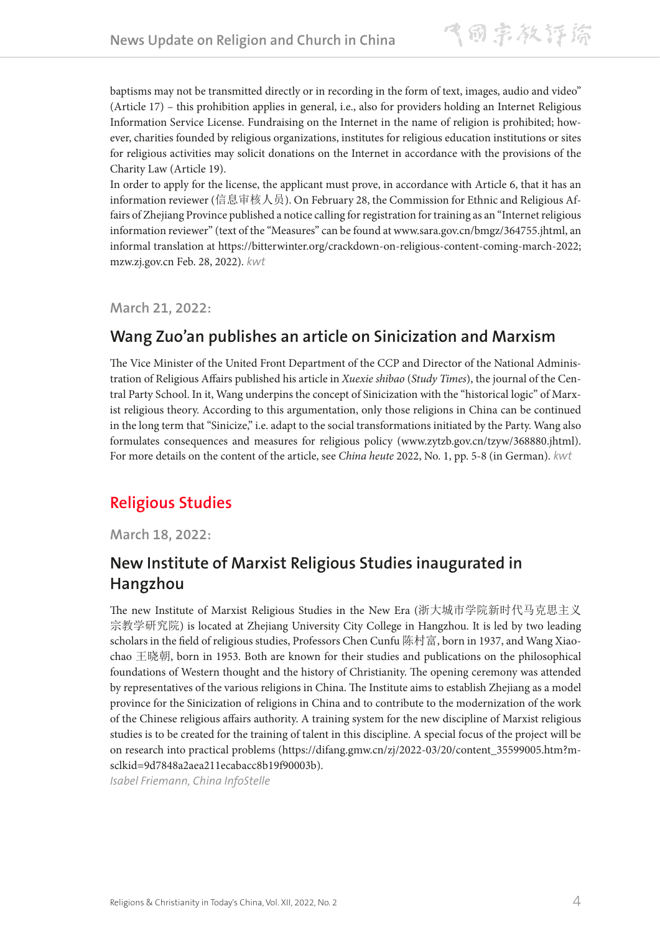baptisms may not be transmitted directly or in recording in the form of text, images, audio and video" (Article 17) – this prohibition applies in general, i.e., also for providers holding an Internet Religious Information Service License. Fundraising on the Internet in the name of religion is prohibited; however, charities founded by religious organizations, institutes for religious education institutions or sites for religious activities may solicit donations on the Internet in accordance with the provisions of the Charity Law (Article 19).

In order to apply for the license, the applicant must prove, in accordance with Article 6, that it has an information reviewer (信息审核人员). On February 28, the Commission for Ethnic and Religious Affairs of Zhejiang Province published a notice calling for registration for training as an "Internet religious information reviewer" (text of the "Measures" can be found at www.sara.gov.cn/bmgz/364755.jhtml, an informal translation at https://bitterwinter.org/crackdown-on-religious-content-coming-march-2022; mzw.zj.gov.cn Feb. 28, 2022). *kwt*

**March 21, 2022:**

### **Wang Zuo'an publishes an article on Sinicization and Marxism**

The Vice Minister of the United Front Department of the CCP and Director of the National Administration of Religious Affairs published his article in *Xuexie shibao* (*Study Times*), the journal of the Central Party School. In it, Wang underpins the concept of Sinicization with the "historical logic" of Marxist religious theory. According to this argumentation, only those religions in China can be continued in the long term that "Sinicize," i.e. adapt to the social transformations initiated by the Party. Wang also formulates consequences and measures for religious policy (www.zytzb.gov.cn/tzyw/368880.jhtml). For more details on the content of the article, see *China heute* 2022, No. 1, pp. 5-8 (in German). *kwt*

# **Religious Studies**

**March 18, 2022:**

## **New Institute of Marxist Religious Studies inaugurated in Hangzhou**

The new Institute of Marxist Religious Studies in the New Era (浙大城市学院新时代马克思主义 宗教学研究院) is located at Zhejiang University City College in Hangzhou. It is led by two leading scholars in the field of religious studies, Professors Chen Cunfu 陈村富, born in 1937, and Wang Xiaochao 王晓朝, born in 1953. Both are known for their studies and publications on the philosophical foundations of Western thought and the history of Christianity. The opening ceremony was attended by representatives of the various religions in China. The Institute aims to establish Zhejiang as a model province for the Sinicization of religions in China and to contribute to the modernization of the work of the Chinese religious affairs authority. A training system for the new discipline of Marxist religious studies is to be created for the training of talent in this discipline. A special focus of the project will be on research into practical problems (https://difang.gmw.cn/zj/2022-03/20/content\_35599005.htm?msclkid=9d7848a2aea211ecabacc8b19f90003b).

*Isabel Friemann, China InfoStelle*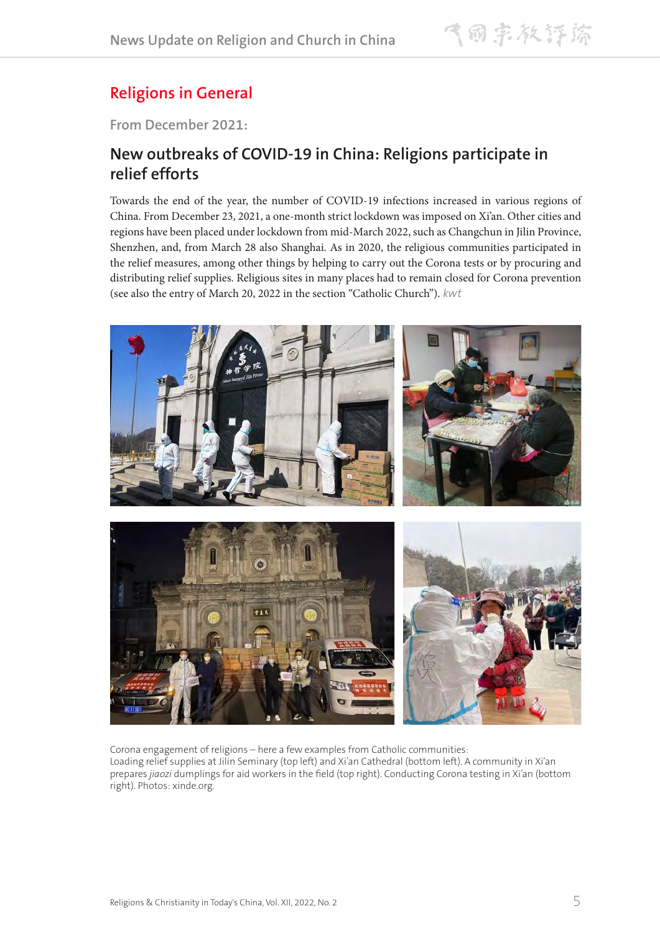# **Religions in General**

**From December 2021:**

### **New outbreaks of COVID-19 in China: Religions participate in relief efforts**

Towards the end of the year, the number of COVID-19 infections increased in various regions of China. From December 23, 2021, a one-month strict lockdown was imposed on Xi'an. Other cities and regions have been placed under lockdown from mid-March 2022, such as Changchun in Jilin Province, Shenzhen, and, from March 28 also Shanghai. As in 2020, the religious communities participated in the relief measures, among other things by helping to carry out the Corona tests or by procuring and distributing relief supplies. Religious sites in many places had to remain closed for Corona prevention (see also the entry of March 20, 2022 in the section "Catholic Church"). *kwt*



Corona engagement of religions – here a few examples from Catholic communities: Loading relief supplies at Jilin Seminary (top left) and Xi'an Cathedral (bottom left). A community in Xi'an prepares *jiaozi* dumplings for aid workers in the field (top right). Conducting Corona testing in Xi'an (bottom right). Photos: xinde.org.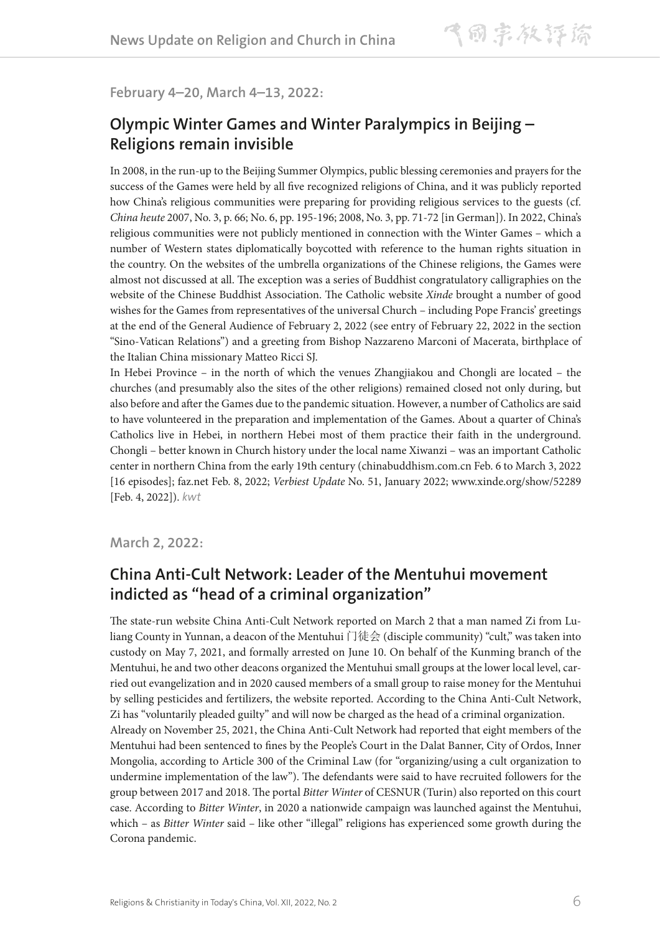#### **February 4–20, March 4–13, 2022:**

### **Olympic Winter Games and Winter Paralympics in Beijing – Religions remain invisible**

In 2008, in the run-up to the Beijing Summer Olympics, public blessing ceremonies and prayers for the success of the Games were held by all five recognized religions of China, and it was publicly reported how China's religious communities were preparing for providing religious services to the guests (cf. *China heute* 2007, No. 3, p. 66; No. 6, pp. 195-196; 2008, No. 3, pp. 71-72 [in German]). In 2022, China's religious communities were not publicly mentioned in connection with the Winter Games – which a number of Western states diplomatically boycotted with reference to the human rights situation in the country. On the websites of the umbrella organizations of the Chinese religions, the Games were almost not discussed at all. The exception was a series of Buddhist congratulatory calligraphies on the website of the Chinese Buddhist Association. The Catholic website *Xinde* brought a number of good wishes for the Games from representatives of the universal Church – including Pope Francis' greetings at the end of the General Audience of February 2, 2022 (see entry of February 22, 2022 in the section "Sino-Vatican Relations") and a greeting from Bishop Nazzareno Marconi of Macerata, birthplace of the Italian China missionary Matteo Ricci SJ.

In Hebei Province – in the north of which the venues Zhangjiakou and Chongli are located – the churches (and presumably also the sites of the other religions) remained closed not only during, but also before and after the Games due to the pandemic situation. However, a number of Catholics are said to have volunteered in the preparation and implementation of the Games. About a quarter of China's Catholics live in Hebei, in northern Hebei most of them practice their faith in the underground. Chongli – better known in Church history under the local name Xiwanzi – was an important Catholic center in northern China from the early 19th century (chinabuddhism.com.cn Feb. 6 to March 3, 2022 [16 episodes]; faz.net Feb. 8, 2022; *Verbiest Update* No. 51, January 2022; www.xinde.org/show/52289 [Feb. 4, 2022]). *kwt*

**March 2, 2022:**

### **China Anti-Cult Network: Leader of the Mentuhui movement indicted as "head of a criminal organization"**

The state-run website China Anti-Cult Network reported on March 2 that a man named Zi from Luliang County in Yunnan, a deacon of the Mentuhui 门徒会 (disciple community) "cult," was taken into custody on May 7, 2021, and formally arrested on June 10. On behalf of the Kunming branch of the Mentuhui, he and two other deacons organized the Mentuhui small groups at the lower local level, carried out evangelization and in 2020 caused members of a small group to raise money for the Mentuhui by selling pesticides and fertilizers, the website reported. According to the China Anti-Cult Network, Zi has "voluntarily pleaded guilty" and will now be charged as the head of a criminal organization. Already on November 25, 2021, the China Anti-Cult Network had reported that eight members of the Mentuhui had been sentenced to fines by the People's Court in the Dalat Banner, City of Ordos, Inner Mongolia, according to Article 300 of the Criminal Law (for "organizing/using a cult organization to undermine implementation of the law"). The defendants were said to have recruited followers for the group between 2017 and 2018. The portal *Bitter Winter* of CESNUR (Turin) also reported on this court case. According to *Bitter Winter*, in 2020 a nationwide campaign was launched against the Mentuhui, which – as *Bitter Winter* said – like other "illegal" religions has experienced some growth during the Corona pandemic.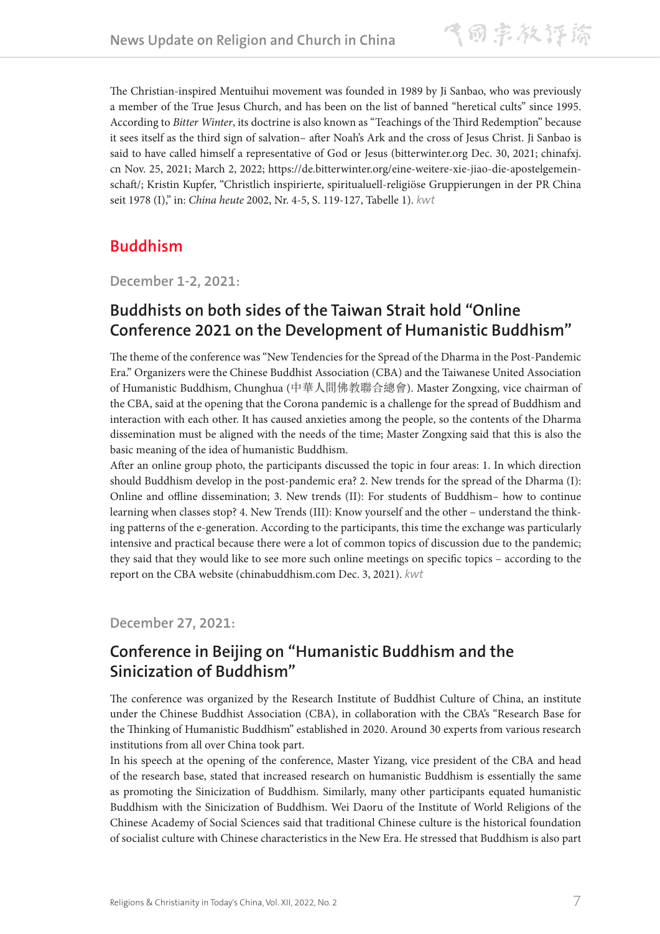The Christian-inspired Mentuihui movement was founded in 1989 by Ji Sanbao, who was previously a member of the True Jesus Church, and has been on the list of banned "heretical cults" since 1995. According to *Bitter Winter*, its doctrine is also known as "Teachings of the Third Redemption" because it sees itself as the third sign of salvation– after Noah's Ark and the cross of Jesus Christ. Ji Sanbao is said to have called himself a representative of God or Jesus (bitterwinter.org Dec. 30, 2021; chinafxj. cn Nov. 25, 2021; March 2, 2022; https://de.bitterwinter.org/eine-weitere-xie-jiao-die-apostelgemeinschaft/; Kristin Kupfer, "Christlich inspirierte, spiritualuell-religiöse Gruppierungen in der PR China seit 1978 (I)," in: *China heute* 2002, Nr. 4-5, S. 119-127, Tabelle 1). *kwt*

### **Buddhism**

**December 1-2, 2021:**

### **Buddhists on both sides of the Taiwan Strait hold "Online Conference 2021 on the Development of Humanistic Buddhism"**

The theme of the conference was "New Tendencies for the Spread of the Dharma in the Post-Pandemic Era." Organizers were the Chinese Buddhist Association (CBA) and the Taiwanese United Association of Humanistic Buddhism, Chunghua (中華人間佛教聯合總會). Master Zongxing, vice chairman of the CBA, said at the opening that the Corona pandemic is a challenge for the spread of Buddhism and interaction with each other. It has caused anxieties among the people, so the contents of the Dharma dissemination must be aligned with the needs of the time; Master Zongxing said that this is also the basic meaning of the idea of humanistic Buddhism.

After an online group photo, the participants discussed the topic in four areas: 1. In which direction should Buddhism develop in the post-pandemic era? 2. New trends for the spread of the Dharma (I): Online and offline dissemination; 3. New trends (II): For students of Buddhism– how to continue learning when classes stop? 4. New Trends (III): Know yourself and the other – understand the thinking patterns of the e-generation. According to the participants, this time the exchange was particularly intensive and practical because there were a lot of common topics of discussion due to the pandemic; they said that they would like to see more such online meetings on specific topics – according to the report on the CBA website (chinabuddhism.com Dec. 3, 2021). *kwt*

**December 27, 2021:**

## **Conference in Beijing on "Humanistic Buddhism and the Sinicization of Buddhism"**

The conference was organized by the Research Institute of Buddhist Culture of China, an institute under the Chinese Buddhist Association (CBA), in collaboration with the CBA's "Research Base for the Thinking of Humanistic Buddhism" established in 2020. Around 30 experts from various research institutions from all over China took part.

In his speech at the opening of the conference, Master Yizang, vice president of the CBA and head of the research base, stated that increased research on humanistic Buddhism is essentially the same as promoting the Sinicization of Buddhism. Similarly, many other participants equated humanistic Buddhism with the Sinicization of Buddhism. Wei Daoru of the Institute of World Religions of the Chinese Academy of Social Sciences said that traditional Chinese culture is the historical foundation of socialist culture with Chinese characteristics in the New Era. He stressed that Buddhism is also part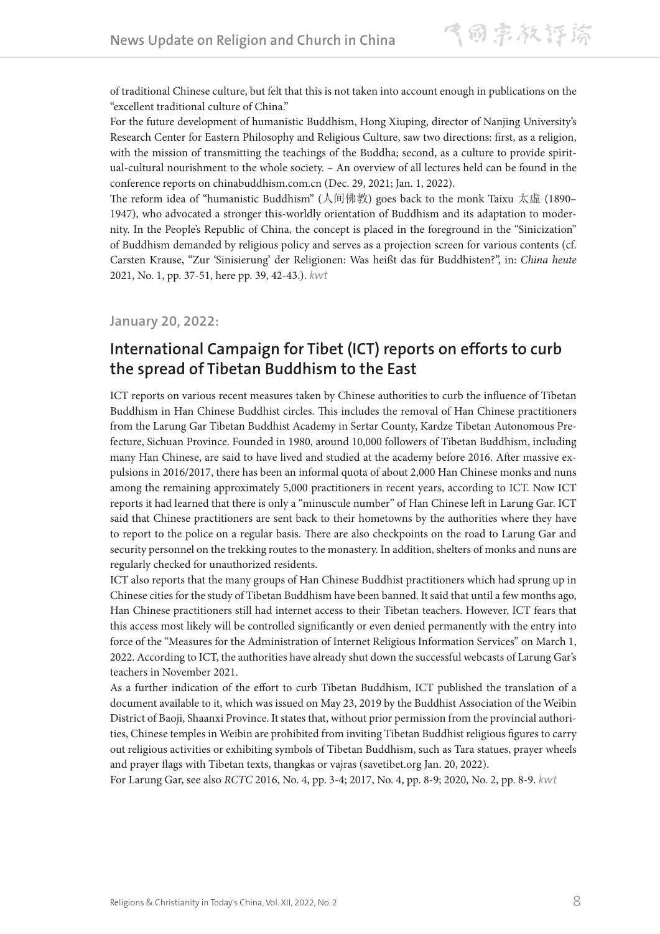of traditional Chinese culture, but felt that this is not taken into account enough in publications on the "excellent traditional culture of China."

For the future development of humanistic Buddhism, Hong Xiuping, director of Nanjing University's Research Center for Eastern Philosophy and Religious Culture, saw two directions: first, as a religion, with the mission of transmitting the teachings of the Buddha; second, as a culture to provide spiritual-cultural nourishment to the whole society. – An overview of all lectures held can be found in the conference reports on chinabuddhism.com.cn (Dec. 29, 2021; Jan. 1, 2022).

The reform idea of "humanistic Buddhism" (人间佛教) goes back to the monk Taixu 太虚 (1890– 1947), who advocated a stronger this-worldly orientation of Buddhism and its adaptation to modernity. In the People's Republic of China, the concept is placed in the foreground in the "Sinicization" of Buddhism demanded by religious policy and serves as a projection screen for various contents (cf. Carsten Krause, "Zur 'Sinisierung' der Religionen: Was heißt das für Buddhisten?", in: *China heute* 2021, No. 1, pp. 37-51, here pp. 39, 42-43.). *kwt*

**January 20, 2022:**

### **International Campaign for Tibet (ICT) reports on efforts to curb the spread of Tibetan Buddhism to the East**

ICT reports on various recent measures taken by Chinese authorities to curb the influence of Tibetan Buddhism in Han Chinese Buddhist circles. This includes the removal of Han Chinese practitioners from the Larung Gar Tibetan Buddhist Academy in Sertar County, Kardze Tibetan Autonomous Prefecture, Sichuan Province. Founded in 1980, around 10,000 followers of Tibetan Buddhism, including many Han Chinese, are said to have lived and studied at the academy before 2016. After massive expulsions in 2016/2017, there has been an informal quota of about 2,000 Han Chinese monks and nuns among the remaining approximately 5,000 practitioners in recent years, according to ICT. Now ICT reports it had learned that there is only a "minuscule number" of Han Chinese left in Larung Gar. ICT said that Chinese practitioners are sent back to their hometowns by the authorities where they have to report to the police on a regular basis. There are also checkpoints on the road to Larung Gar and security personnel on the trekking routes to the monastery. In addition, shelters of monks and nuns are regularly checked for unauthorized residents.

ICT also reports that the many groups of Han Chinese Buddhist practitioners which had sprung up in Chinese cities for the study of Tibetan Buddhism have been banned. It said that until a few months ago, Han Chinese practitioners still had internet access to their Tibetan teachers. However, ICT fears that this access most likely will be controlled significantly or even denied permanently with the entry into force of the "Measures for the Administration of Internet Religious Information Services" on March 1, 2022. According to ICT, the authorities have already shut down the successful webcasts of Larung Gar's teachers in November 2021.

As a further indication of the effort to curb Tibetan Buddhism, ICT published the translation of a document available to it, which was issued on May 23, 2019 by the Buddhist Association of the Weibin District of Baoji, Shaanxi Province. It states that, without prior permission from the provincial authorities, Chinese temples in Weibin are prohibited from inviting Tibetan Buddhist religious figures to carry out religious activities or exhibiting symbols of Tibetan Buddhism, such as Tara statues, prayer wheels and prayer flags with Tibetan texts, thangkas or vajras (savetibet.org Jan. 20, 2022).

For Larung Gar, see also *RCTC* 2016, No. 4, pp. 3-4; 2017, No. 4, pp. 8-9; 2020, No. 2, pp. 8-9. *kwt*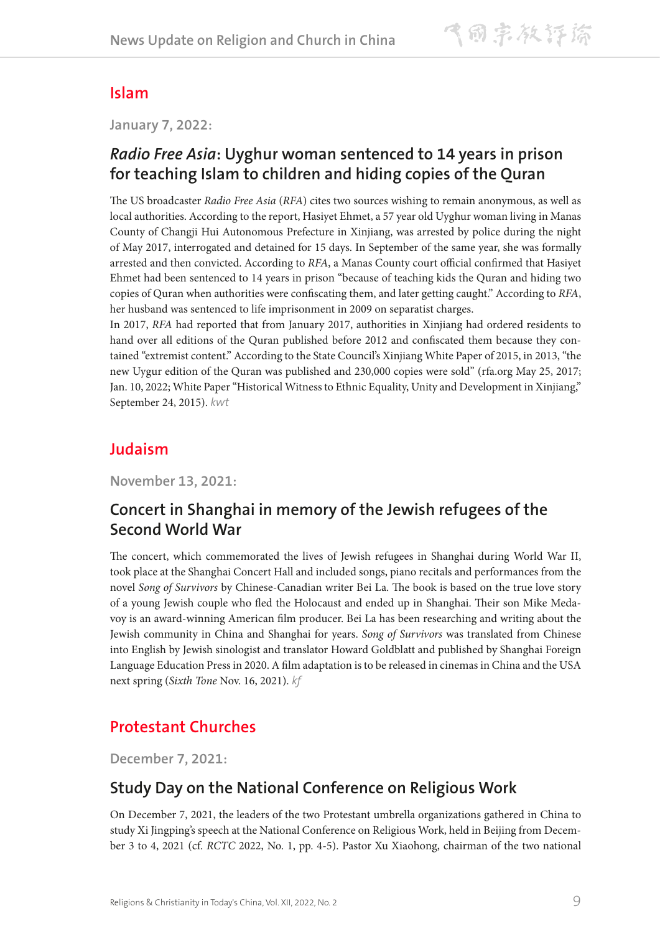### **Islam**

**January 7, 2022:**

### *Radio Free Asia***: Uyghur woman sentenced to 14 years in prison for teaching Islam to children and hiding copies of the Quran**

The US broadcaster *Radio Free Asia* (*RFA*) cites two sources wishing to remain anonymous, as well as local authorities. According to the report, Hasiyet Ehmet, a 57 year old Uyghur woman living in Manas County of Changji Hui Autonomous Prefecture in Xinjiang, was arrested by police during the night of May 2017, interrogated and detained for 15 days. In September of the same year, she was formally arrested and then convicted. According to *RFA*, a Manas County court official confirmed that Hasiyet Ehmet had been sentenced to 14 years in prison "because of teaching kids the Quran and hiding two copies of Quran when authorities were confiscating them, and later getting caught." According to *RFA*, her husband was sentenced to life imprisonment in 2009 on separatist charges.

In 2017, *RFA* had reported that from January 2017, authorities in Xinjiang had ordered residents to hand over all editions of the Quran published before 2012 and confiscated them because they contained "extremist content." According to the State Council's Xinjiang White Paper of 2015, in 2013, "the new Uygur edition of the Quran was published and 230,000 copies were sold" (rfa.org May 25, 2017; Jan. 10, 2022; White Paper "Historical Witness to Ethnic Equality, Unity and Development in Xinjiang," September 24, 2015). *kwt*

## **Judaism**

**November 13, 2021:**

# **Concert in Shanghai in memory of the Jewish refugees of the Second World War**

The concert, which commemorated the lives of Jewish refugees in Shanghai during World War II, took place at the Shanghai Concert Hall and included songs, piano recitals and performances from the novel *Song of Survivors* by Chinese-Canadian writer Bei La. The book is based on the true love story of a young Jewish couple who fled the Holocaust and ended up in Shanghai. Their son Mike Medavoy is an award-winning American film producer. Bei La has been researching and writing about the Jewish community in China and Shanghai for years. *Song of Survivors* was translated from Chinese into English by Jewish sinologist and translator Howard Goldblatt and published by Shanghai Foreign Language Education Press in 2020. A film adaptation is to be released in cinemas in China and the USA next spring (*Sixth Tone* Nov. 16, 2021). *kf*

# **Protestant Churches**

**December 7, 2021:**

### **Study Day on the National Conference on Religious Work**

On December 7, 2021, the leaders of the two Protestant umbrella organizations gathered in China to study Xi Jingping's speech at the National Conference on Religious Work, held in Beijing from December 3 to 4, 2021 (cf. *RCTC* 2022, No. 1, pp. 4-5). Pastor Xu Xiaohong, chairman of the two national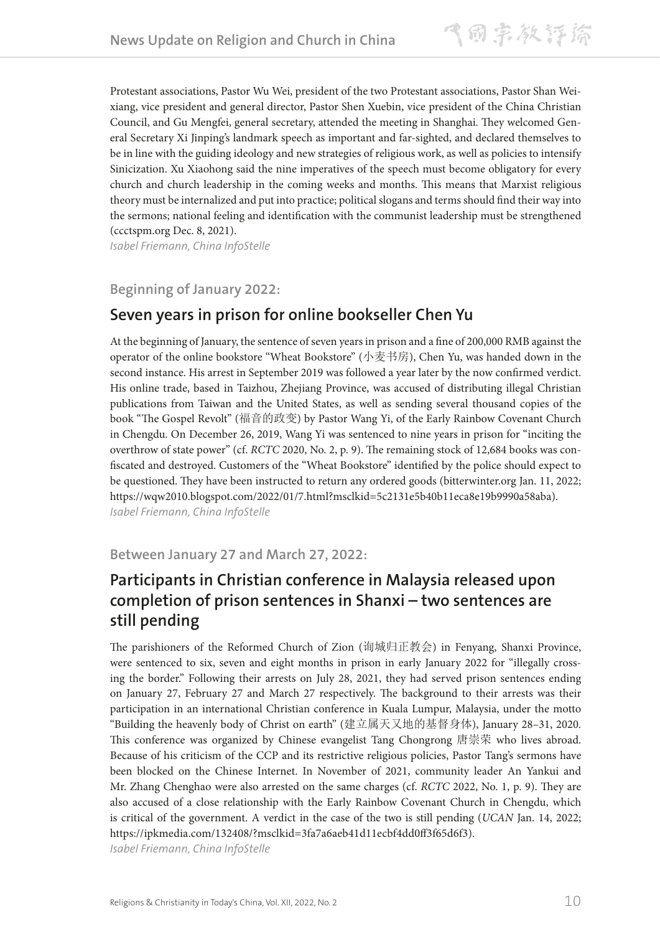Protestant associations, Pastor Wu Wei, president of the two Protestant associations, Pastor Shan Weixiang, vice president and general director, Pastor Shen Xuebin, vice president of the China Christian Council, and Gu Mengfei, general secretary, attended the meeting in Shanghai. They welcomed General Secretary Xi Jinping's landmark speech as important and far-sighted, and declared themselves to be in line with the guiding ideology and new strategies of religious work, as well as policies to intensify Sinicization. Xu Xiaohong said the nine imperatives of the speech must become obligatory for every church and church leadership in the coming weeks and months. This means that Marxist religious theory must be internalized and put into practice; political slogans and terms should find their way into the sermons; national feeling and identification with the communist leadership must be strengthened (ccctspm.org Dec. 8, 2021).

*Isabel Friemann, China InfoStelle*

**Beginning of January 2022:**

### **Seven years in prison for online bookseller Chen Yu**

At the beginning of January, the sentence of seven years in prison and a fine of 200,000 RMB against the operator of the online bookstore "Wheat Bookstore" (小麦书房), Chen Yu, was handed down in the second instance. His arrest in September 2019 was followed a year later by the now confirmed verdict. His online trade, based in Taizhou, Zhejiang Province, was accused of distributing illegal Christian publications from Taiwan and the United States, as well as sending several thousand copies of the book "The Gospel Revolt" (福音的政变) by Pastor Wang Yi, of the Early Rainbow Covenant Church in Chengdu. On December 26, 2019, Wang Yi was sentenced to nine years in prison for "inciting the overthrow of state power" (cf. *RCTC* 2020, No. 2, p. 9). The remaining stock of 12,684 books was confiscated and destroyed. Customers of the "Wheat Bookstore" identified by the police should expect to be questioned. They have been instructed to return any ordered goods (bitterwinter.org Jan. 11, 2022; https://wqw2010.blogspot.com/2022/01/7.html?msclkid=5c2131e5b40b11eca8e19b9990a58aba). *Isabel Friemann, China InfoStelle*

#### **Between January 27 and March 27, 2022:**

### **Participants in Christian conference in Malaysia released upon completion of prison sentences in Shanxi – two sentences are still pending**

The parishioners of the Reformed Church of Zion (询城归正教会) in Fenyang, Shanxi Province, were sentenced to six, seven and eight months in prison in early January 2022 for "illegally crossing the border." Following their arrests on July 28, 2021, they had served prison sentences ending on January 27, February 27 and March 27 respectively. The background to their arrests was their participation in an international Christian conference in Kuala Lumpur, Malaysia, under the motto "Building the heavenly body of Christ on earth" (建立属天又地的基督身体), January 28–31, 2020. This conference was organized by Chinese evangelist Tang Chongrong 唐崇荣 who lives abroad. Because of his criticism of the CCP and its restrictive religious policies, Pastor Tang's sermons have been blocked on the Chinese Internet. In November of 2021, community leader An Yankui and Mr. Zhang Chenghao were also arrested on the same charges (cf. *RCTC* 2022, No. 1, p. 9). They are also accused of a close relationship with the Early Rainbow Covenant Church in Chengdu, which is critical of the government. A verdict in the case of the two is still pending (*UCAN* Jan. 14, 2022; https://ipkmedia.com/132408/?msclkid=3fa7a6aeb41d11ecbf4dd0ff3f65d6f3). *Isabel Friemann, China InfoStelle*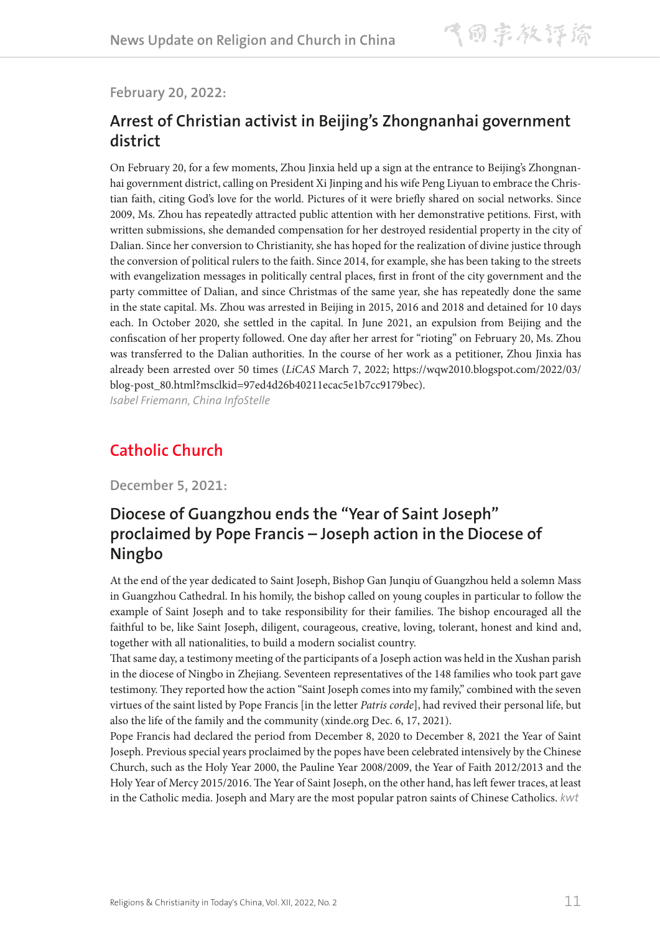**February 20, 2022:**

### **Arrest of Christian activist in Beijing's Zhongnanhai government district**

On February 20, for a few moments, Zhou Jinxia held up a sign at the entrance to Beijing's Zhongnanhai government district, calling on President Xi Jinping and his wife Peng Liyuan to embrace the Christian faith, citing God's love for the world. Pictures of it were briefly shared on social networks. Since 2009, Ms. Zhou has repeatedly attracted public attention with her demonstrative petitions. First, with written submissions, she demanded compensation for her destroyed residential property in the city of Dalian. Since her conversion to Christianity, she has hoped for the realization of divine justice through the conversion of political rulers to the faith. Since 2014, for example, she has been taking to the streets with evangelization messages in politically central places, first in front of the city government and the party committee of Dalian, and since Christmas of the same year, she has repeatedly done the same in the state capital. Ms. Zhou was arrested in Beijing in 2015, 2016 and 2018 and detained for 10 days each. In October 2020, she settled in the capital. In June 2021, an expulsion from Beijing and the confiscation of her property followed. One day after her arrest for "rioting" on February 20, Ms. Zhou was transferred to the Dalian authorities. In the course of her work as a petitioner, Zhou Jinxia has already been arrested over 50 times (*LiCAS* March 7, 2022; https://wqw2010.blogspot.com/2022/03/ blog-post\_80.html?msclkid=97ed4d26b40211ecac5e1b7cc9179bec).

*Isabel Friemann, China InfoStelle*

### **Catholic Church**

**December 5, 2021:**

### **Diocese of Guangzhou ends the "Year of Saint Joseph" proclaimed by Pope Francis – Joseph action in the Diocese of Ningbo**

At the end of the year dedicated to Saint Joseph, Bishop Gan Junqiu of Guangzhou held a solemn Mass in Guangzhou Cathedral. In his homily, the bishop called on young couples in particular to follow the example of Saint Joseph and to take responsibility for their families. The bishop encouraged all the faithful to be, like Saint Joseph, diligent, courageous, creative, loving, tolerant, honest and kind and, together with all nationalities, to build a modern socialist country.

That same day, a testimony meeting of the participants of a Joseph action was held in the Xushan parish in the diocese of Ningbo in Zhejiang. Seventeen representatives of the 148 families who took part gave testimony. They reported how the action "Saint Joseph comes into my family," combined with the seven virtues of the saint listed by Pope Francis [in the letter *Patris corde*], had revived their personal life, but also the life of the family and the community (xinde.org Dec. 6, 17, 2021).

Pope Francis had declared the period from December 8, 2020 to December 8, 2021 the Year of Saint Joseph. Previous special years proclaimed by the popes have been celebrated intensively by the Chinese Church, such as the Holy Year 2000, the Pauline Year 2008/2009, the Year of Faith 2012/2013 and the Holy Year of Mercy 2015/2016. The Year of Saint Joseph, on the other hand, has left fewer traces, at least in the Catholic media. Joseph and Mary are the most popular patron saints of Chinese Catholics. *kwt*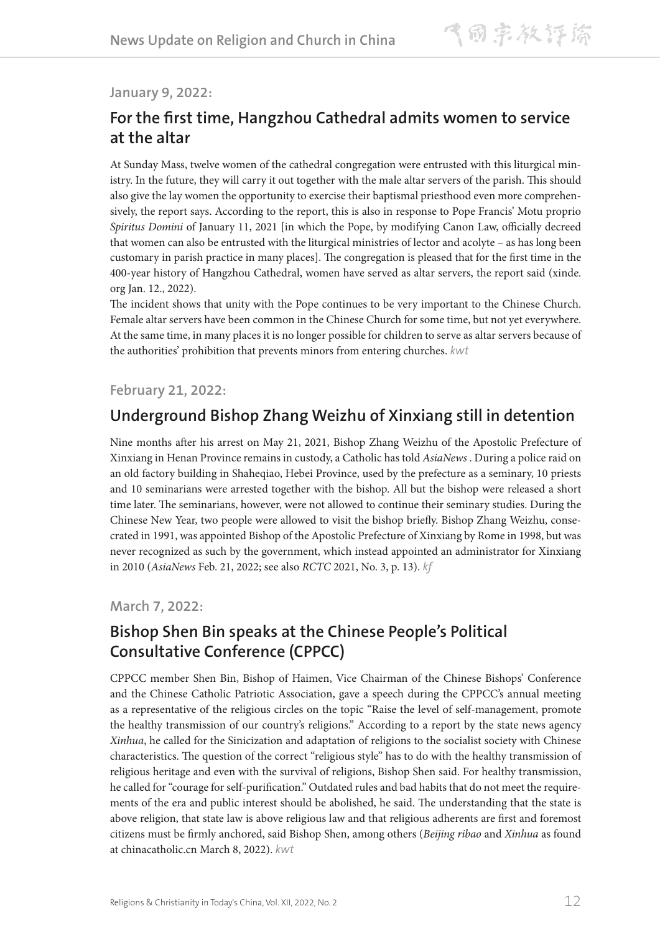#### **January 9, 2022:**

### **For the first time, Hangzhou Cathedral admits women to service at the altar**

At Sunday Mass, twelve women of the cathedral congregation were entrusted with this liturgical ministry. In the future, they will carry it out together with the male altar servers of the parish. This should also give the lay women the opportunity to exercise their baptismal priesthood even more comprehensively, the report says. According to the report, this is also in response to Pope Francis' Motu proprio *Spiritus Domini* of January 11, 2021 [in which the Pope, by modifying Canon Law, officially decreed that women can also be entrusted with the liturgical ministries of lector and acolyte – as has long been customary in parish practice in many places]. The congregation is pleased that for the first time in the 400-year history of Hangzhou Cathedral, women have served as altar servers, the report said (xinde. org Jan. 12., 2022).

The incident shows that unity with the Pope continues to be very important to the Chinese Church. Female altar servers have been common in the Chinese Church for some time, but not yet everywhere. At the same time, in many places it is no longer possible for children to serve as altar servers because of the authorities' prohibition that prevents minors from entering churches. *kwt*

#### **February 21, 2022:**

### **Underground Bishop Zhang Weizhu of Xinxiang still in detention**

Nine months after his arrest on May 21, 2021, Bishop Zhang Weizhu of the Apostolic Prefecture of Xinxiang in Henan Province remains in custody, a Catholic has told *AsiaNews* . During a police raid on an old factory building in Shaheqiao, Hebei Province, used by the prefecture as a seminary, 10 priests and 10 seminarians were arrested together with the bishop. All but the bishop were released a short time later. The seminarians, however, were not allowed to continue their seminary studies. During the Chinese New Year, two people were allowed to visit the bishop briefly. Bishop Zhang Weizhu, consecrated in 1991, was appointed Bishop of the Apostolic Prefecture of Xinxiang by Rome in 1998, but was never recognized as such by the government, which instead appointed an administrator for Xinxiang in 2010 (*AsiaNews* Feb. 21, 2022; see also *RCTC* 2021, No. 3, p. 13). *kf*

#### **March 7, 2022:**

### **Bishop Shen Bin speaks at the Chinese People's Political Consultative Conference (CPPCC)**

CPPCC member Shen Bin, Bishop of Haimen, Vice Chairman of the Chinese Bishops' Conference and the Chinese Catholic Patriotic Association, gave a speech during the CPPCC's annual meeting as a representative of the religious circles on the topic "Raise the level of self-management, promote the healthy transmission of our country's religions." According to a report by the state news agency *Xinhua*, he called for the Sinicization and adaptation of religions to the socialist society with Chinese characteristics. The question of the correct "religious style" has to do with the healthy transmission of religious heritage and even with the survival of religions, Bishop Shen said. For healthy transmission, he called for "courage for self-purification." Outdated rules and bad habits that do not meet the requirements of the era and public interest should be abolished, he said. The understanding that the state is above religion, that state law is above religious law and that religious adherents are first and foremost citizens must be firmly anchored, said Bishop Shen, among others (*Beijing ribao* and *Xinhua* as found at chinacatholic.cn March 8, 2022). *kwt*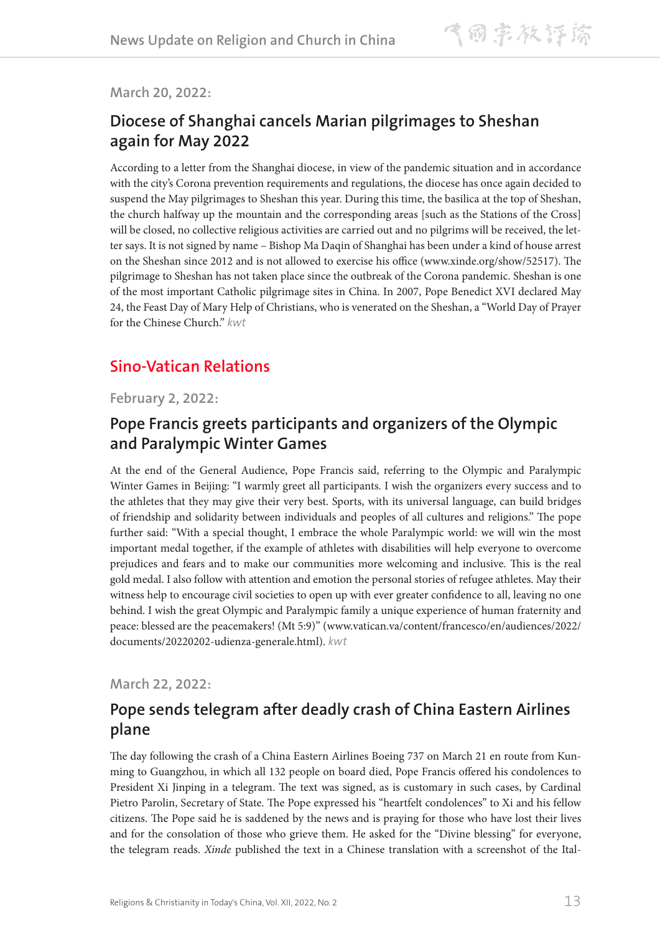**March 20, 2022:**

### **Diocese of Shanghai cancels Marian pilgrimages to Sheshan again for May 2022**

According to a letter from the Shanghai diocese, in view of the pandemic situation and in accordance with the city's Corona prevention requirements and regulations, the diocese has once again decided to suspend the May pilgrimages to Sheshan this year. During this time, the basilica at the top of Sheshan, the church halfway up the mountain and the corresponding areas [such as the Stations of the Cross] will be closed, no collective religious activities are carried out and no pilgrims will be received, the letter says. It is not signed by name – Bishop Ma Daqin of Shanghai has been under a kind of house arrest on the Sheshan since 2012 and is not allowed to exercise his office (www.xinde.org/show/52517). The pilgrimage to Sheshan has not taken place since the outbreak of the Corona pandemic. Sheshan is one of the most important Catholic pilgrimage sites in China. In 2007, Pope Benedict XVI declared May 24, the Feast Day of Mary Help of Christians, who is venerated on the Sheshan, a "World Day of Prayer for the Chinese Church." *kwt*

## **Sino-Vatican Relations**

#### **February 2, 2022:**

### **Pope Francis greets participants and organizers of the Olympic and Paralympic Winter Games**

At the end of the General Audience, Pope Francis said, referring to the Olympic and Paralympic Winter Games in Beijing: "I warmly greet all participants. I wish the organizers every success and to the athletes that they may give their very best. Sports, with its universal language, can build bridges of friendship and solidarity between individuals and peoples of all cultures and religions." The pope further said: "With a special thought, I embrace the whole Paralympic world: we will win the most important medal together, if the example of athletes with disabilities will help everyone to overcome prejudices and fears and to make our communities more welcoming and inclusive. This is the real gold medal. I also follow with attention and emotion the personal stories of refugee athletes. May their witness help to encourage civil societies to open up with ever greater confidence to all, leaving no one behind. I wish the great Olympic and Paralympic family a unique experience of human fraternity and peace: blessed are the peacemakers! (Mt 5:9)" (www.vatican.va/content/francesco/en/audiences/2022/ documents/20220202-udienza-generale.html). *kwt*

**March 22, 2022:**

### **Pope sends telegram after deadly crash of China Eastern Airlines plane**

The day following the crash of a China Eastern Airlines Boeing 737 on March 21 en route from Kunming to Guangzhou, in which all 132 people on board died, Pope Francis offered his condolences to President Xi Jinping in a telegram. The text was signed, as is customary in such cases, by Cardinal Pietro Parolin, Secretary of State. The Pope expressed his "heartfelt condolences" to Xi and his fellow citizens. The Pope said he is saddened by the news and is praying for those who have lost their lives and for the consolation of those who grieve them. He asked for the "Divine blessing" for everyone, the telegram reads. *Xinde* published the text in a Chinese translation with a screenshot of the Ital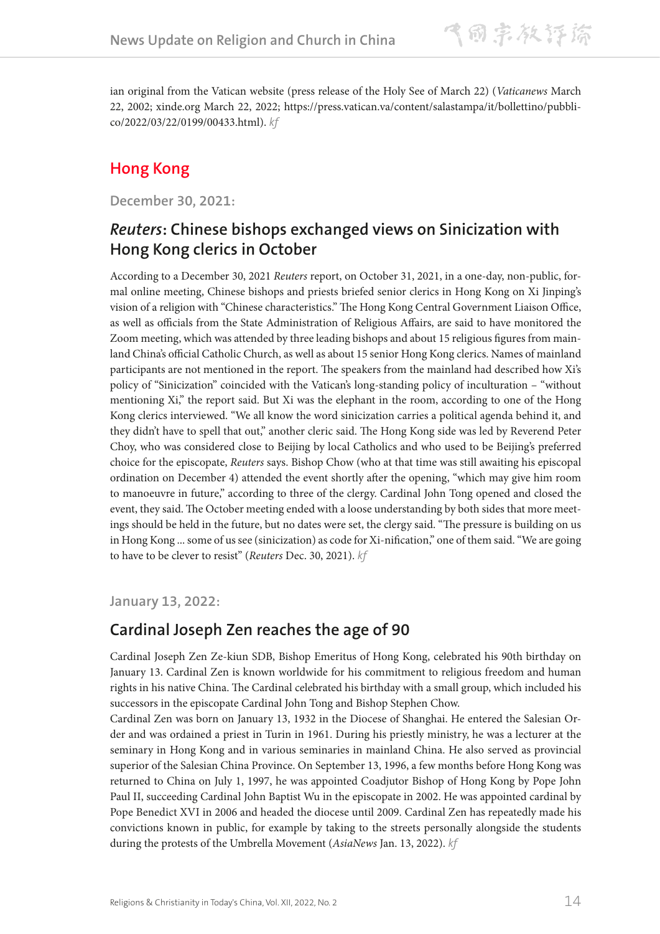ian original from the Vatican website (press release of the Holy See of March 22) (*Vaticanews* March 22, 2002; xinde.org March 22, 2022; https://press.vatican.va/content/salastampa/it/bollettino/pubblico/2022/03/22/0199/00433.html). *kf*

# **Hong Kong**

**December 30, 2021:**

### *Reuters***: Chinese bishops exchanged views on Sinicization with Hong Kong clerics in October**

According to a December 30, 2021 *Reuters* report, on October 31, 2021, in a one-day, non-public, formal online meeting, Chinese bishops and priests briefed senior clerics in Hong Kong on Xi Jinping's vision of a religion with "Chinese characteristics." The Hong Kong Central Government Liaison Office, as well as officials from the State Administration of Religious Affairs, are said to have monitored the Zoom meeting, which was attended by three leading bishops and about 15 religious figures from mainland China's official Catholic Church, as well as about 15 senior Hong Kong clerics. Names of mainland participants are not mentioned in the report. The speakers from the mainland had described how Xi's policy of "Sinicization" coincided with the Vatican's long-standing policy of inculturation – "without mentioning Xi," the report said. But Xi was the elephant in the room, according to one of the Hong Kong clerics interviewed. "We all know the word sinicization carries a political agenda behind it, and they didn't have to spell that out," another cleric said. The Hong Kong side was led by Reverend Peter Choy, who was considered close to Beijing by local Catholics and who used to be Beijing's preferred choice for the episcopate, *Reuters* says. Bishop Chow (who at that time was still awaiting his episcopal ordination on December 4) attended the event shortly after the opening, "which may give him room to manoeuvre in future," according to three of the clergy. Cardinal John Tong opened and closed the event, they said. The October meeting ended with a loose understanding by both sides that more meetings should be held in the future, but no dates were set, the clergy said. "The pressure is building on us in Hong Kong ... some of us see (sinicization) as code for Xi-nification," one of them said. "We are going to have to be clever to resist" (*Reuters* Dec. 30, 2021). *kf*

**January 13, 2022:**

### **Cardinal Joseph Zen reaches the age of 90**

Cardinal Joseph Zen Ze-kiun SDB, Bishop Emeritus of Hong Kong, celebrated his 90th birthday on January 13. Cardinal Zen is known worldwide for his commitment to religious freedom and human rights in his native China. The Cardinal celebrated his birthday with a small group, which included his successors in the episcopate Cardinal John Tong and Bishop Stephen Chow.

Cardinal Zen was born on January 13, 1932 in the Diocese of Shanghai. He entered the Salesian Order and was ordained a priest in Turin in 1961. During his priestly ministry, he was a lecturer at the seminary in Hong Kong and in various seminaries in mainland China. He also served as provincial superior of the Salesian China Province. On September 13, 1996, a few months before Hong Kong was returned to China on July 1, 1997, he was appointed Coadjutor Bishop of Hong Kong by Pope John Paul II, succeeding Cardinal John Baptist Wu in the episcopate in 2002. He was appointed cardinal by Pope Benedict XVI in 2006 and headed the diocese until 2009. Cardinal Zen has repeatedly made his convictions known in public, for example by taking to the streets personally alongside the students during the protests of the Umbrella Movement (*AsiaNews* Jan. 13, 2022). *kf*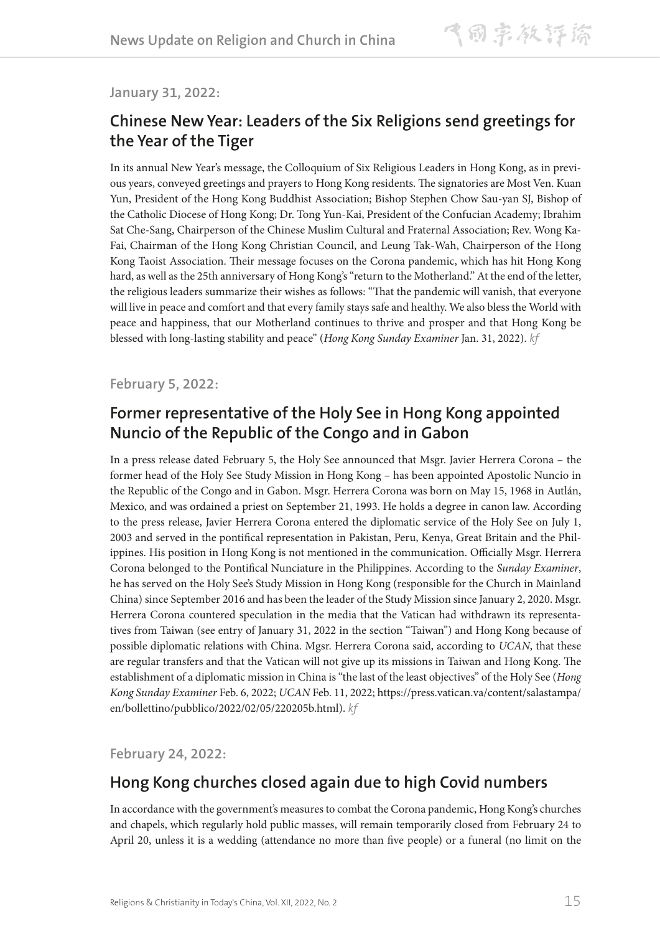**January 31, 2022:**

### **Chinese New Year: Leaders of the Six Religions send greetings for the Year of the Tiger**

In its annual New Year's message, the Colloquium of Six Religious Leaders in Hong Kong, as in previous years, conveyed greetings and prayers to Hong Kong residents. The signatories are Most Ven. Kuan Yun, President of the Hong Kong Buddhist Association; Bishop Stephen Chow Sau-yan SJ, Bishop of the Catholic Diocese of Hong Kong; Dr. Tong Yun-Kai, President of the Confucian Academy; Ibrahim Sat Che-Sang, Chairperson of the Chinese Muslim Cultural and Fraternal Association; Rev. Wong Ka-Fai, Chairman of the Hong Kong Christian Council, and Leung Tak-Wah, Chairperson of the Hong Kong Taoist Association. Their message focuses on the Corona pandemic, which has hit Hong Kong hard, as well as the 25th anniversary of Hong Kong's "return to the Motherland." At the end of the letter, the religious leaders summarize their wishes as follows: "That the pandemic will vanish, that everyone will live in peace and comfort and that every family stays safe and healthy. We also bless the World with peace and happiness, that our Motherland continues to thrive and prosper and that Hong Kong be blessed with long-lasting stability and peace" (*Hong Kong Sunday Examiner* Jan. 31, 2022). *kf*

**February 5, 2022:**

### **Former representative of the Holy See in Hong Kong appointed Nuncio of the Republic of the Congo and in Gabon**

In a press release dated February 5, the Holy See announced that Msgr. Javier Herrera Corona – the former head of the Holy See Study Mission in Hong Kong – has been appointed Apostolic Nuncio in the Republic of the Congo and in Gabon. Msgr. Herrera Corona was born on May 15, 1968 in Autlán, Mexico, and was ordained a priest on September 21, 1993. He holds a degree in canon law. According to the press release, Javier Herrera Corona entered the diplomatic service of the Holy See on July 1, 2003 and served in the pontifical representation in Pakistan, Peru, Kenya, Great Britain and the Philippines. His position in Hong Kong is not mentioned in the communication. Officially Msgr. Herrera Corona belonged to the Pontifical Nunciature in the Philippines. According to the *Sunday Examiner*, he has served on the Holy See's Study Mission in Hong Kong (responsible for the Church in Mainland China) since September 2016 and has been the leader of the Study Mission since January 2, 2020. Msgr. Herrera Corona countered speculation in the media that the Vatican had withdrawn its representatives from Taiwan (see entry of January 31, 2022 in the section "Taiwan") and Hong Kong because of possible diplomatic relations with China. Mgsr. Herrera Corona said, according to *UCAN*, that these are regular transfers and that the Vatican will not give up its missions in Taiwan and Hong Kong. The establishment of a diplomatic mission in China is "the last of the least objectives" of the Holy See (*Hong Kong Sunday Examiner* Feb. 6, 2022; *UCAN* Feb. 11, 2022; https://press.vatican.va/content/salastampa/ en/bollettino/pubblico/2022/02/05/220205b.html). *kf*

**February 24, 2022:** 

## **Hong Kong churches closed again due to high Covid numbers**

In accordance with the government's measures to combat the Corona pandemic, Hong Kong's churches and chapels, which regularly hold public masses, will remain temporarily closed from February 24 to April 20, unless it is a wedding (attendance no more than five people) or a funeral (no limit on the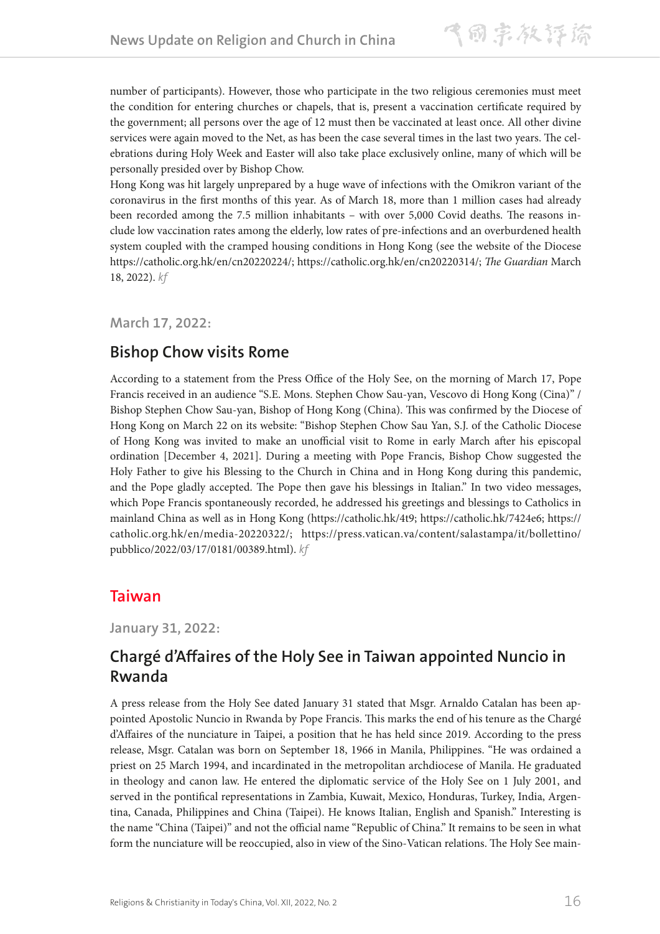number of participants). However, those who participate in the two religious ceremonies must meet the condition for entering churches or chapels, that is, present a vaccination certificate required by the government; all persons over the age of 12 must then be vaccinated at least once. All other divine services were again moved to the Net, as has been the case several times in the last two years. The celebrations during Holy Week and Easter will also take place exclusively online, many of which will be personally presided over by Bishop Chow.

Hong Kong was hit largely unprepared by a huge wave of infections with the Omikron variant of the coronavirus in the first months of this year. As of March 18, more than 1 million cases had already been recorded among the 7.5 million inhabitants – with over 5,000 Covid deaths. The reasons include low vaccination rates among the elderly, low rates of pre-infections and an overburdened health system coupled with the cramped housing conditions in Hong Kong (see the website of the Diocese https://catholic.org.hk/en/cn20220224/; https://catholic.org.hk/en/cn20220314/; *The Guardian* March 18, 2022). *kf*

**March 17, 2022:**

### **Bishop Chow visits Rome**

According to a statement from the Press Office of the Holy See, on the morning of March 17, Pope Francis received in an audience "S.E. Mons. Stephen Chow Sau-yan, Vescovo di Hong Kong (Cina)" / Bishop Stephen Chow Sau-yan, Bishop of Hong Kong (China). This was confirmed by the Diocese of Hong Kong on March 22 on its website: "Bishop Stephen Chow Sau Yan, S.J. of the Catholic Diocese of Hong Kong was invited to make an unofficial visit to Rome in early March after his episcopal ordination [December 4, 2021]. During a meeting with Pope Francis, Bishop Chow suggested the Holy Father to give his Blessing to the Church in China and in Hong Kong during this pandemic, and the Pope gladly accepted. The Pope then gave his blessings in Italian." In two video messages, which Pope Francis spontaneously recorded, he addressed his greetings and blessings to Catholics in mainland China as well as in Hong Kong (https://catholic.hk/4t9; https://catholic.hk/7424e6; https:// catholic.org.hk/en/media-20220322/; https://press.vatican.va/content/salastampa/it/bollettino/ pubblico/2022/03/17/0181/00389.html). *kf*

### **Taiwan**

**January 31, 2022:**

### **Chargé d'Affaires of the Holy See in Taiwan appointed Nuncio in Rwanda**

A press release from the Holy See dated January 31 stated that Msgr. Arnaldo Catalan has been appointed Apostolic Nuncio in Rwanda by Pope Francis. This marks the end of his tenure as the Chargé d'Affaires of the nunciature in Taipei, a position that he has held since 2019. According to the press release, Msgr. Catalan was born on September 18, 1966 in Manila, Philippines. "He was ordained a priest on 25 March 1994, and incardinated in the metropolitan archdiocese of Manila. He graduated in theology and canon law. He entered the diplomatic service of the Holy See on 1 July 2001, and served in the pontifical representations in Zambia, Kuwait, Mexico, Honduras, Turkey, India, Argentina, Canada, Philippines and China (Taipei). He knows Italian, English and Spanish." Interesting is the name "China (Taipei)" and not the official name "Republic of China." It remains to be seen in what form the nunciature will be reoccupied, also in view of the Sino-Vatican relations. The Holy See main